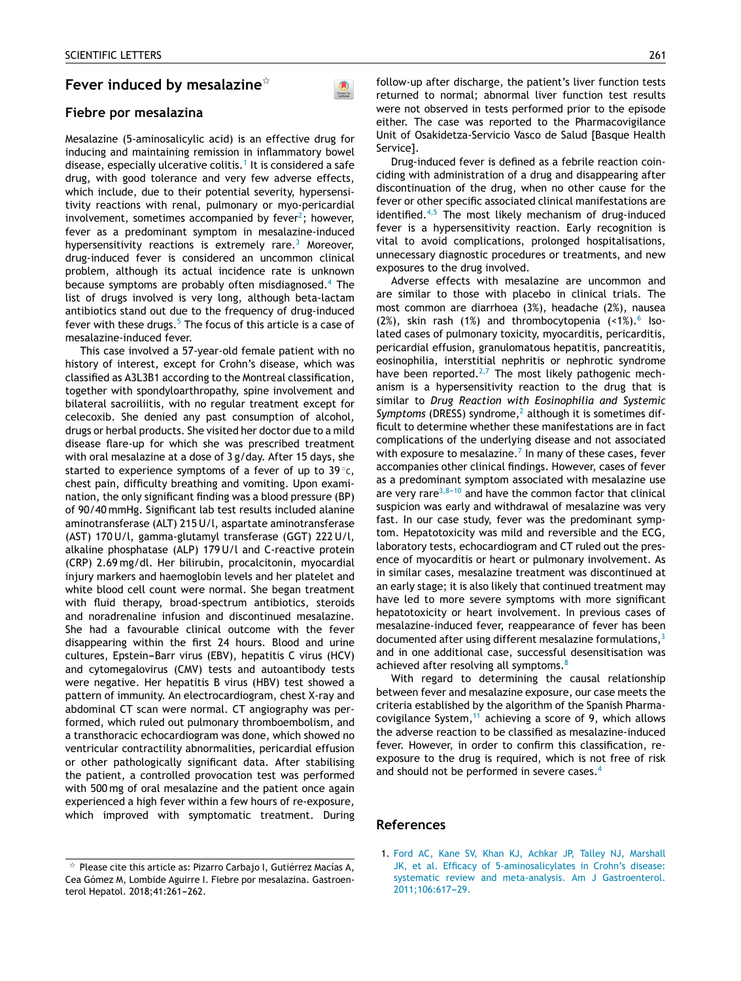# **Fever induced by mesalazine**-

### **Fiebre por mesalazina**

Mesalazine (5-aminosalicylic acid) is an effective drug for inducing and maintaining remission in inflammatory bowel disease, especially ulcerative colitis.<sup>1</sup> It is considered a safe drug, with good tolerance and very few adverse effects, which include, due to their potential severity, hypersensitivity reactions with renal, pulmonary or myo-pericardial involvement, sometimes accompanied by fever $^2$ [;](#page-1-0) however, fever as a predominant symptom in mesalazine-induced hypersensitivity reactions is extremely rare.<sup>[3](#page-1-0)</sup> Moreover, drug-induced fever is considered an uncommon clinical problem, although its actual incidence rate is unknown because symptoms are probably often misdiagnosed.<sup>[4](#page-1-0)</sup> The list of drugs involved is very long, although beta-lactam antibiotics stand out due to the frequency of drug-induced fever with these drugs.<sup>[5](#page-1-0)</sup> The focus of this article is a case of mesalazine-induced fever.

 $\bullet$ 

This case involved a 57-year-old female patient with no history of interest, except for Crohn's disease, which was classified as A3L3B1 according to the Montreal classification, together with spondyloarthropathy, spine involvement and bilateral sacroiliitis, with no regular treatment except for celecoxib. She denied any past consumption of alcohol, drugs or herbal products. She visited her doctor due to a mild disease flare-up for which she was prescribed treatment with oral mesalazine at a dose of 3 g/day. After 15 days, she started to experience symptoms of a fever of up to 39  $^{\circ}$ c, chest pain, difficulty breathing and vomiting. Upon examination, the only significant finding was a blood pressure (BP) of 90/40 mmHg. Significant lab test results included alanine aminotransferase (ALT) 215 U/l, aspartate aminotransferase (AST) 170 U/l, gamma-glutamyl transferase (GGT) 222 U/l, alkaline phosphatase (ALP) 179 U/l and C-reactive protein (CRP) 2.69 mg/dl. Her bilirubin, procalcitonin, myocardial injury markers and haemoglobin levels and her platelet and white blood cell count were normal. She began treatment with fluid therapy, broad-spectrum antibiotics, steroids and noradrenaline infusion and discontinued mesalazine. She had a favourable clinical outcome with the fever disappearing within the first 24 hours. Blood and urine cultures, Epstein-Barr virus (EBV), hepatitis C virus (HCV) and cytomegalovirus (CMV) tests and autoantibody tests were negative. Her hepatitis B virus (HBV) test showed a pattern of immunity. An electrocardiogram, chest X-ray and abdominal CT scan were normal. CT angiography was performed, which ruled out pulmonary thromboembolism, and a transthoracic echocardiogram was done, which showed no ventricular contractility abnormalities, pericardial effusion or other pathologically significant data. After stabilising the patient, a controlled provocation test was performed with 500 mg of oral mesalazine and the patient once again experienced a high fever within a few hours of re-exposure, which improved with symptomatic treatment. During follow-up after discharge, the patient's liver function tests returned to normal; abnormal liver function test results were not observed in tests performed prior to the episode either. The case was reported to the Pharmacovigilance Unit of Osakidetza-Servicio Vasco de Salud [Basque Health Service].

Drug-induced fever is defined as a febrile reaction coinciding with administration of a drug and disappearing after discontinuation of the drug, when no other cause for the fever or other specific associated clinical manifestations are identified. $4,5$  The most likely mechanism of drug-induced fever is a hypersensitivity reaction. Early recognition is vital to avoid complications, prolonged hospitalisations, unnecessary diagnostic procedures or treatments, and new exposures to the drug involved.

Adverse effects with mesalazine are uncommon and are similar to those with placebo in clinical trials. The most common are diarrhoea (3%), headache (2%), nausea (2%), skin rash (1%) and thrombocytopenia  $($ 1%). Isolated cases of pulmonary toxicity, myocarditis, pericarditis, pericardial effusion, granulomatous hepatitis, pancreatitis, eosinophilia, interstitial nephritis or nephrotic syndrome have been reported.<sup>[2,7](#page-1-0)</sup> The most likely pathogenic mechanism is a hypersensitivity reaction to the drug that is similar to *Drug Reaction with Eosinophilia and Systemic Symptoms* (DRESS) syndrome,<sup>2</sup> [a](#page-1-0)lthough it is sometimes difficult to determine whether these manifestations are in fact complications of the underlying disease and not associated with exposure to mesalazine. $7$  [I](#page-1-0)n many of these cases, fever accompanies other clinical findings. However, cases of fever as a predominant symptom associated with mesalazine use are very rare<sup>3,8-10</sup> and have the common factor that clinical suspicion was early and withdrawal of mesalazine was very fast. In our case study, fever was the predominant symptom. Hepatotoxicity was mild and reversible and the ECG, laboratory tests, echocardiogram and CT ruled out the presence of myocarditis or heart or pulmonary involvement. As in similar cases, mesalazine treatment was discontinued at an early stage; it is also likely that continued treatment may have led to more severe symptoms with more significant hepatotoxicity or heart involvement. In previous cases of mesalazine-induced fever, reappearance of fever has been documented after using different mesalazine formulations, $3$ and in one additional case, successful desensitisation was achieved after resolving all symptoms.<sup>[8](#page-1-0)</sup>

With regard to determining the causal relationship between fever and mesalazine exposure, our case meets the criteria established by the algorithm of the Spanish Pharmacovigilance System, $<sup>11</sup>$  $<sup>11</sup>$  $<sup>11</sup>$  achieving a score of 9, which allows</sup> the adverse reaction to be classified as mesalazine-induced fever. However, in order to confirm this classification, reexposure to the drug is required, which is not free of risk and should not be performed in severe cases.<sup>[4](#page-1-0)</sup>

#### **References**

1. [Ford](http://refhub.elsevier.com/S2444-3824(18)30065-8/sbref0060) [AC,](http://refhub.elsevier.com/S2444-3824(18)30065-8/sbref0060) [Kane](http://refhub.elsevier.com/S2444-3824(18)30065-8/sbref0060) [SV,](http://refhub.elsevier.com/S2444-3824(18)30065-8/sbref0060) [Khan](http://refhub.elsevier.com/S2444-3824(18)30065-8/sbref0060) [KJ,](http://refhub.elsevier.com/S2444-3824(18)30065-8/sbref0060) [Achkar](http://refhub.elsevier.com/S2444-3824(18)30065-8/sbref0060) [JP,](http://refhub.elsevier.com/S2444-3824(18)30065-8/sbref0060) [Talley](http://refhub.elsevier.com/S2444-3824(18)30065-8/sbref0060) [NJ,](http://refhub.elsevier.com/S2444-3824(18)30065-8/sbref0060) [Marshall](http://refhub.elsevier.com/S2444-3824(18)30065-8/sbref0060) [JK,](http://refhub.elsevier.com/S2444-3824(18)30065-8/sbref0060) [et](http://refhub.elsevier.com/S2444-3824(18)30065-8/sbref0060) [al.](http://refhub.elsevier.com/S2444-3824(18)30065-8/sbref0060) [Efficacy](http://refhub.elsevier.com/S2444-3824(18)30065-8/sbref0060) [of](http://refhub.elsevier.com/S2444-3824(18)30065-8/sbref0060) [5-aminosalicylates](http://refhub.elsevier.com/S2444-3824(18)30065-8/sbref0060) [in](http://refhub.elsevier.com/S2444-3824(18)30065-8/sbref0060) [Crohn's](http://refhub.elsevier.com/S2444-3824(18)30065-8/sbref0060) [disease:](http://refhub.elsevier.com/S2444-3824(18)30065-8/sbref0060) [systematic](http://refhub.elsevier.com/S2444-3824(18)30065-8/sbref0060) [review](http://refhub.elsevier.com/S2444-3824(18)30065-8/sbref0060) [and](http://refhub.elsevier.com/S2444-3824(18)30065-8/sbref0060) [meta-analysis.](http://refhub.elsevier.com/S2444-3824(18)30065-8/sbref0060) [Am](http://refhub.elsevier.com/S2444-3824(18)30065-8/sbref0060) [J](http://refhub.elsevier.com/S2444-3824(18)30065-8/sbref0060) [Gastroenterol.](http://refhub.elsevier.com/S2444-3824(18)30065-8/sbref0060) 2011;106:617-29.

 $^\star$  Please cite this article as: Pizarro Carbajo I, Gutiérrez Macías A, Cea Gómez M, Lombide Aguirre I. Fiebre por mesalazina. Gastroenterol Hepatol. 2018;41:261-262.